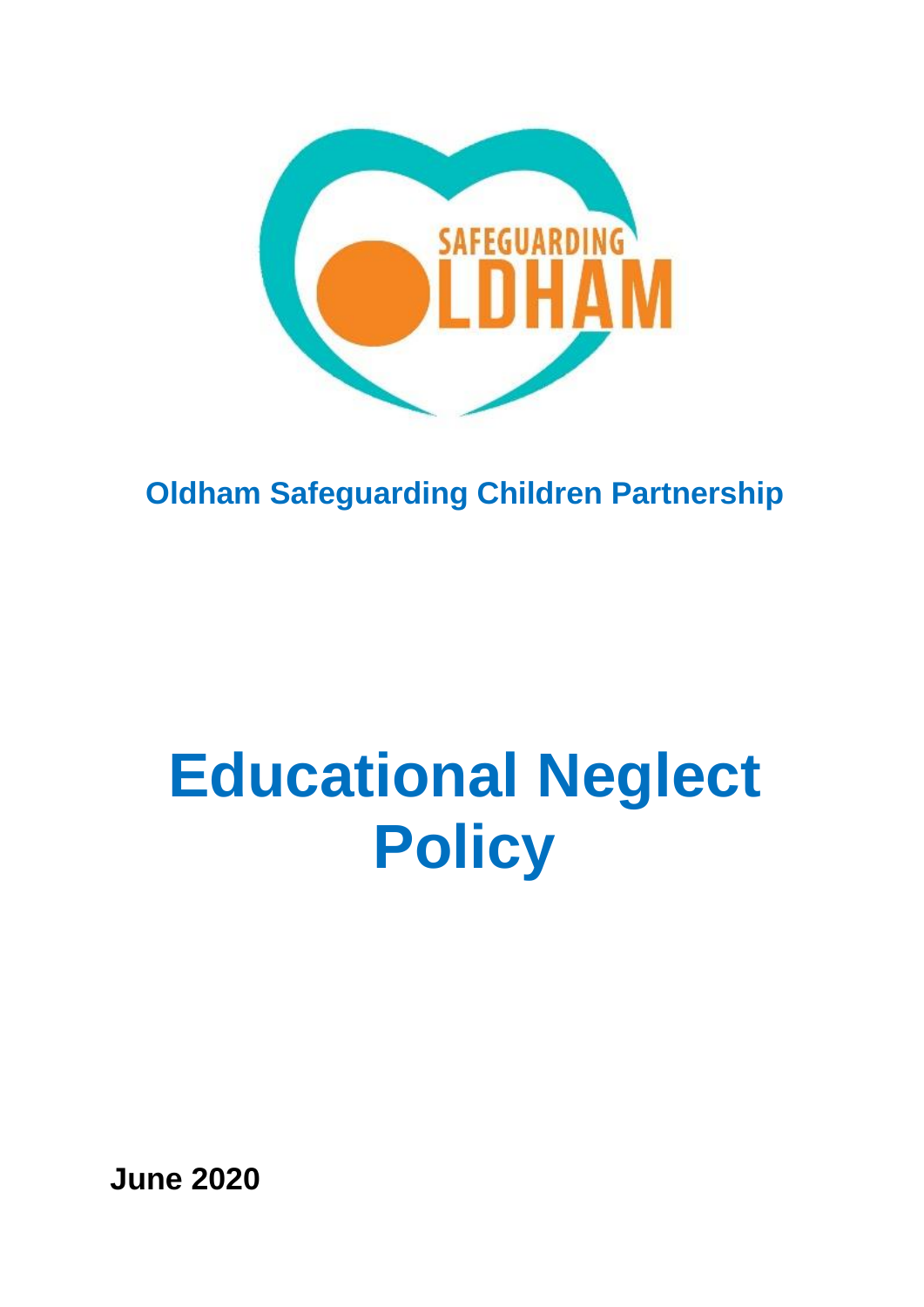

## **Oldham Safeguarding Children Partnership**

# **Educational Neglect Policy**

**June 2020**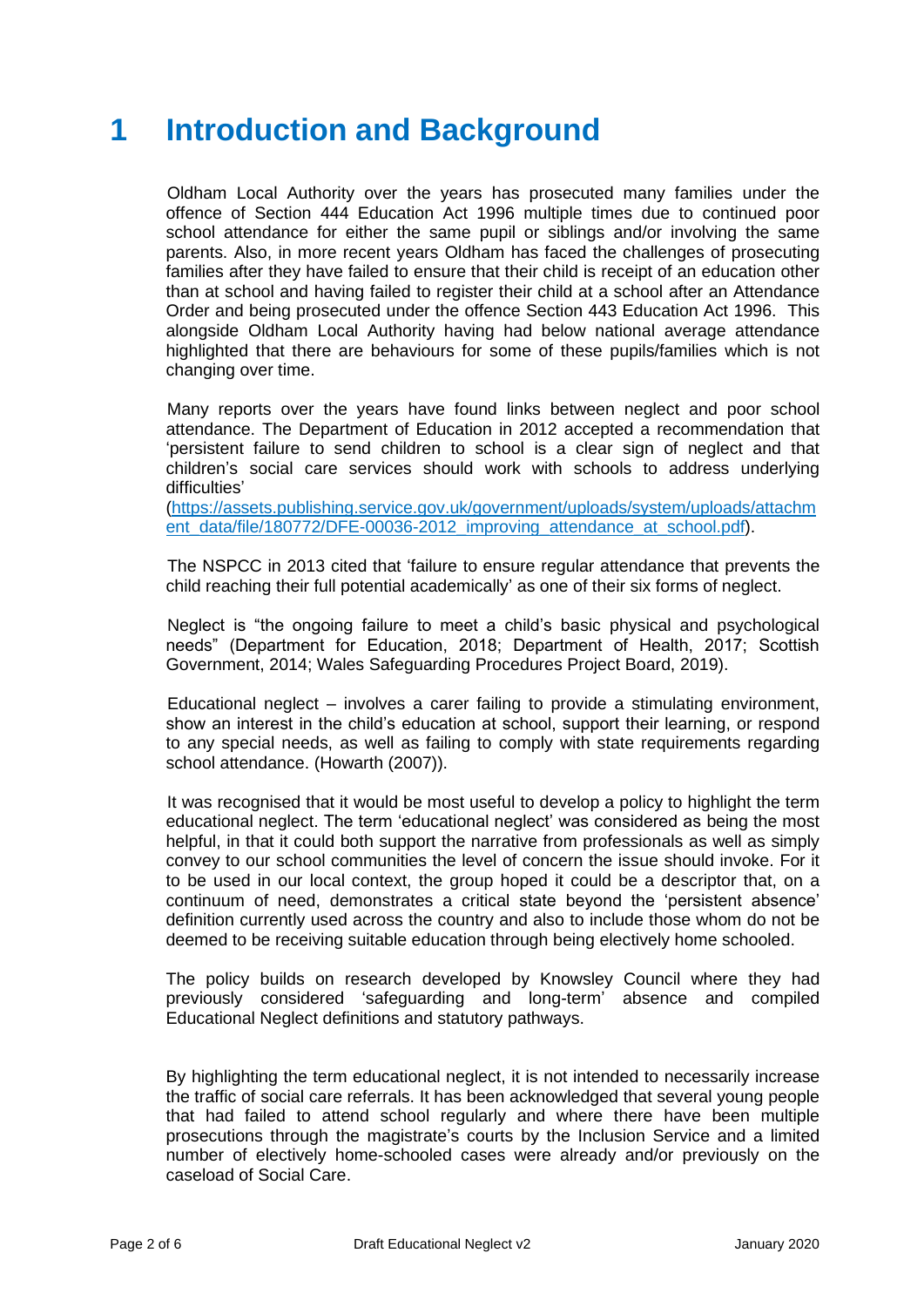### **1 Introduction and Background**

 Oldham Local Authority over the years has prosecuted many families under the offence of Section 444 Education Act 1996 multiple times due to continued poor school attendance for either the same pupil or siblings and/or involving the same parents. Also, in more recent years Oldham has faced the challenges of prosecuting families after they have failed to ensure that their child is receipt of an education other than at school and having failed to register their child at a school after an Attendance Order and being prosecuted under the offence Section 443 Education Act 1996. This alongside Oldham Local Authority having had below national average attendance highlighted that there are behaviours for some of these pupils/families which is not changing over time.

 Many reports over the years have found links between neglect and poor school attendance. The Department of Education in 2012 accepted a recommendation that 'persistent failure to send children to school is a clear sign of neglect and that children's social care services should work with schools to address underlying difficulties'

[\(https://assets.publishing.service.gov.uk/government/uploads/system/uploads/attachm](https://assets.publishing.service.gov.uk/government/uploads/system/uploads/attachment_data/file/180772/DFE-00036-2012_improving_attendance_at_school.pdf) [ent\\_data/file/180772/DFE-00036-2012\\_improving\\_attendance\\_at\\_school.pdf\)](https://assets.publishing.service.gov.uk/government/uploads/system/uploads/attachment_data/file/180772/DFE-00036-2012_improving_attendance_at_school.pdf).

 The NSPCC in 2013 cited that 'failure to ensure regular attendance that prevents the child reaching their full potential academically' as one of their six forms of neglect.

 Neglect is "the ongoing failure to meet a child's basic physical and psychological needs" (Department for Education, 2018; Department of Health, 2017; Scottish Government, 2014; Wales Safeguarding Procedures Project Board, 2019).

 Educational neglect – involves a carer failing to provide a stimulating environment, show an interest in the child's education at school, support their learning, or respond to any special needs, as well as failing to comply with state requirements regarding school attendance. (Howarth (2007)).

 It was recognised that it would be most useful to develop a policy to highlight the term educational neglect. The term 'educational neglect' was considered as being the most helpful, in that it could both support the narrative from professionals as well as simply convey to our school communities the level of concern the issue should invoke. For it to be used in our local context, the group hoped it could be a descriptor that, on a continuum of need, demonstrates a critical state beyond the 'persistent absence' definition currently used across the country and also to include those whom do not be deemed to be receiving suitable education through being electively home schooled.

The policy builds on research developed by Knowsley Council where they had previously considered 'safeguarding and long-term' absence and compiled Educational Neglect definitions and statutory pathways.

By highlighting the term educational neglect, it is not intended to necessarily increase the traffic of social care referrals. It has been acknowledged that several young people that had failed to attend school regularly and where there have been multiple prosecutions through the magistrate's courts by the Inclusion Service and a limited number of electively home-schooled cases were already and/or previously on the caseload of Social Care.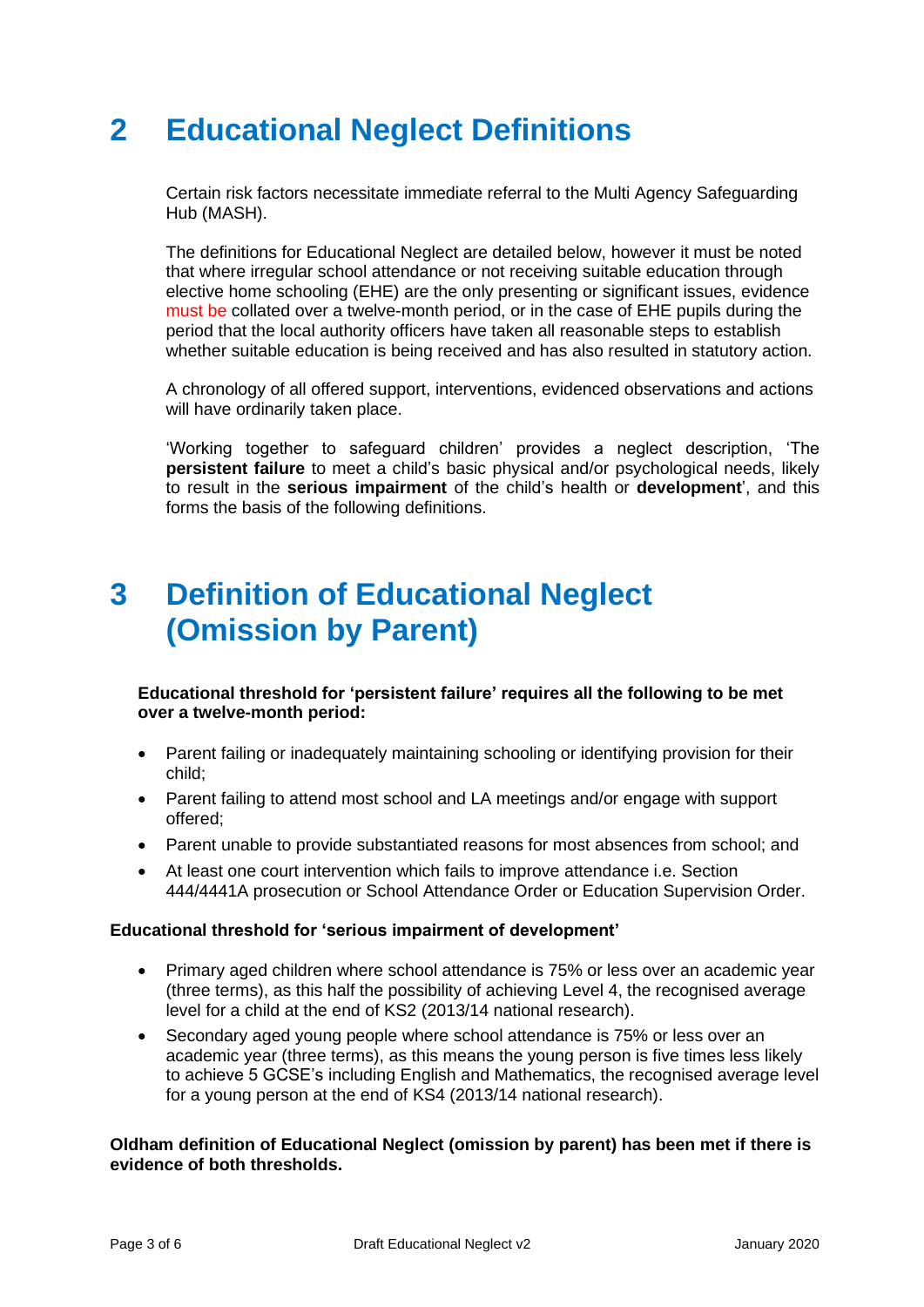### **2 Educational Neglect Definitions**

Certain risk factors necessitate immediate referral to the Multi Agency Safeguarding Hub (MASH).

The definitions for Educational Neglect are detailed below, however it must be noted that where irregular school attendance or not receiving suitable education through elective home schooling (EHE) are the only presenting or significant issues, evidence must be collated over a twelve-month period, or in the case of EHE pupils during the period that the local authority officers have taken all reasonable steps to establish whether suitable education is being received and has also resulted in statutory action.

A chronology of all offered support, interventions, evidenced observations and actions will have ordinarily taken place.

'Working together to safeguard children' provides a neglect description, 'The **persistent failure** to meet a child's basic physical and/or psychological needs, likely to result in the **serious impairment** of the child's health or **development**', and this forms the basis of the following definitions.

### **3 Definition of Educational Neglect (Omission by Parent)**

**Educational threshold for 'persistent failure' requires all the following to be met over a twelve-month period:** 

- Parent failing or inadequately maintaining schooling or identifying provision for their child;
- Parent failing to attend most school and LA meetings and/or engage with support offered;
- Parent unable to provide substantiated reasons for most absences from school; and
- At least one court intervention which fails to improve attendance i.e. Section 444/4441A prosecution or School Attendance Order or Education Supervision Order.

#### **Educational threshold for 'serious impairment of development'**

- Primary aged children where school attendance is 75% or less over an academic year (three terms), as this half the possibility of achieving Level 4, the recognised average level for a child at the end of KS2 (2013/14 national research).
- Secondary aged young people where school attendance is 75% or less over an academic year (three terms), as this means the young person is five times less likely to achieve 5 GCSE's including English and Mathematics, the recognised average level for a young person at the end of KS4 (2013/14 national research).

#### **Oldham definition of Educational Neglect (omission by parent) has been met if there is evidence of both thresholds.**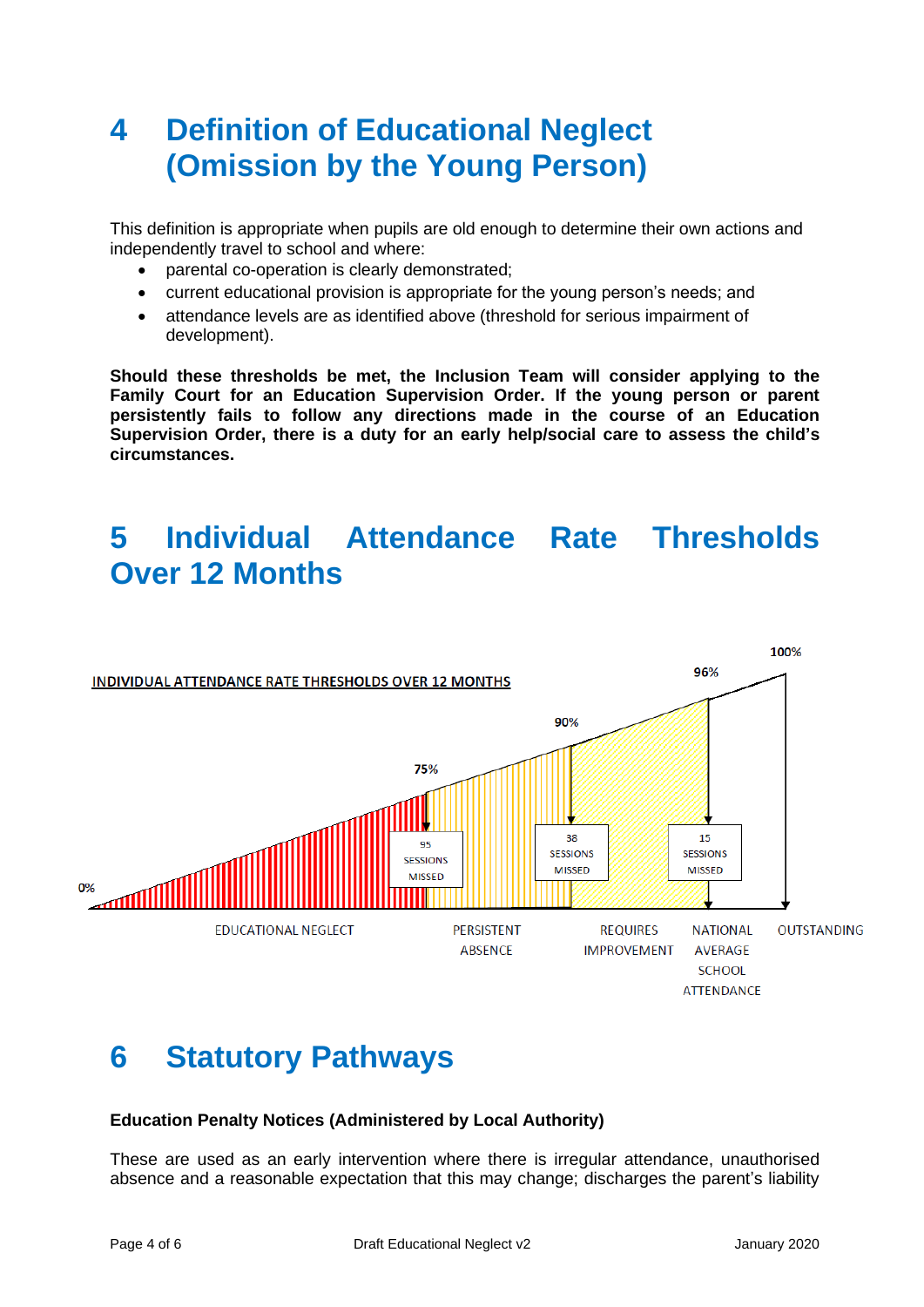### **4 Definition of Educational Neglect (Omission by the Young Person)**

This definition is appropriate when pupils are old enough to determine their own actions and independently travel to school and where:

- parental co-operation is clearly demonstrated;
- current educational provision is appropriate for the young person's needs; and
- attendance levels are as identified above (threshold for serious impairment of development).

**Should these thresholds be met, the Inclusion Team will consider applying to the Family Court for an Education Supervision Order. If the young person or parent persistently fails to follow any directions made in the course of an Education Supervision Order, there is a duty for an early help/social care to assess the child's circumstances.**

### **5 Individual Attendance Rate Thresholds Over 12 Months**



### **6 Statutory Pathways**

#### **Education Penalty Notices (Administered by Local Authority)**

These are used as an early intervention where there is irregular attendance, unauthorised absence and a reasonable expectation that this may change; discharges the parent's liability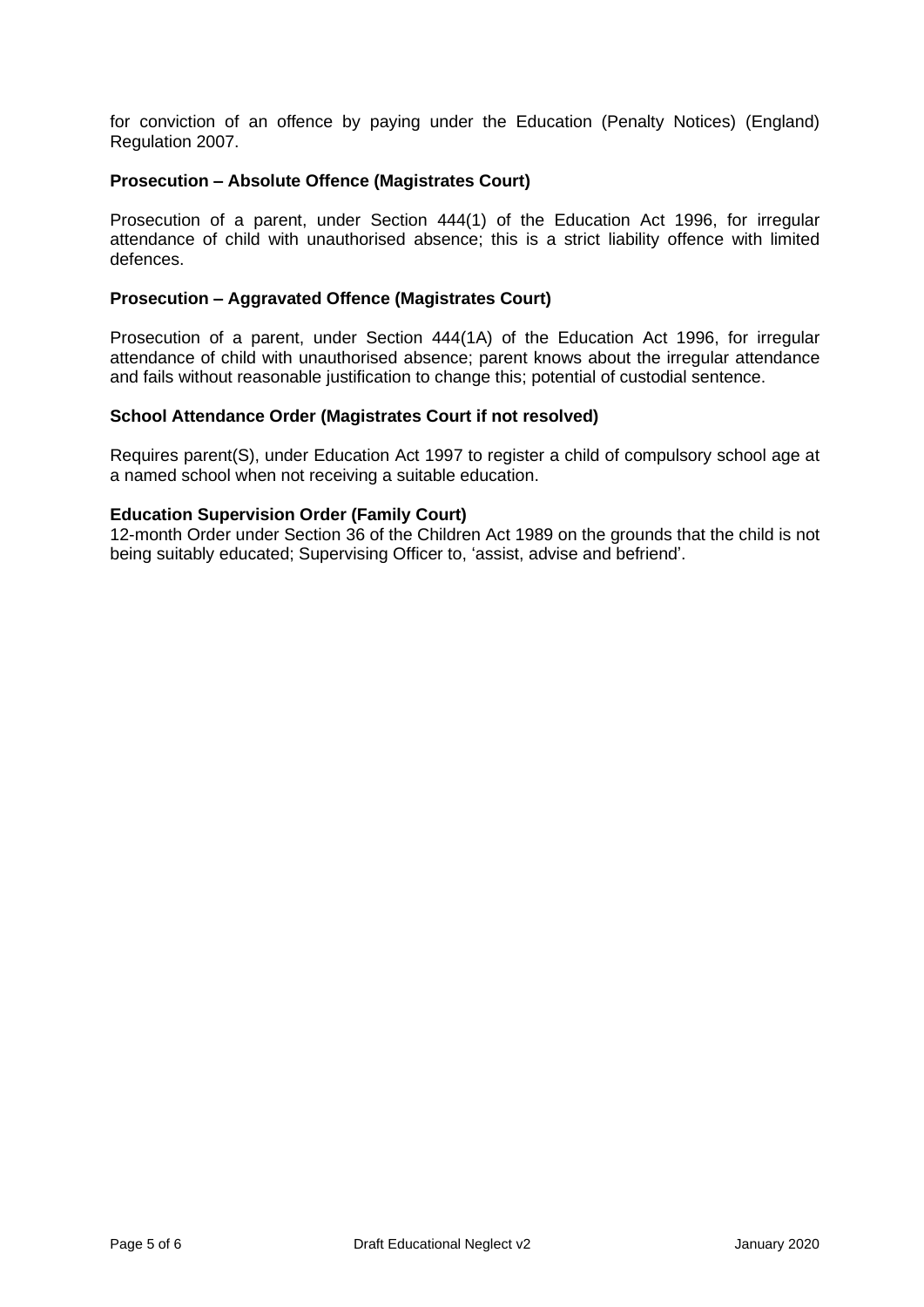for conviction of an offence by paying under the Education (Penalty Notices) (England) Regulation 2007.

#### **Prosecution – Absolute Offence (Magistrates Court)**

Prosecution of a parent, under Section 444(1) of the Education Act 1996, for irregular attendance of child with unauthorised absence; this is a strict liability offence with limited defences.

#### **Prosecution – Aggravated Offence (Magistrates Court)**

Prosecution of a parent, under Section 444(1A) of the Education Act 1996, for irregular attendance of child with unauthorised absence; parent knows about the irregular attendance and fails without reasonable justification to change this; potential of custodial sentence.

#### **School Attendance Order (Magistrates Court if not resolved)**

Requires parent(S), under Education Act 1997 to register a child of compulsory school age at a named school when not receiving a suitable education.

#### **Education Supervision Order (Family Court)**

12-month Order under Section 36 of the Children Act 1989 on the grounds that the child is not being suitably educated; Supervising Officer to, 'assist, advise and befriend'.